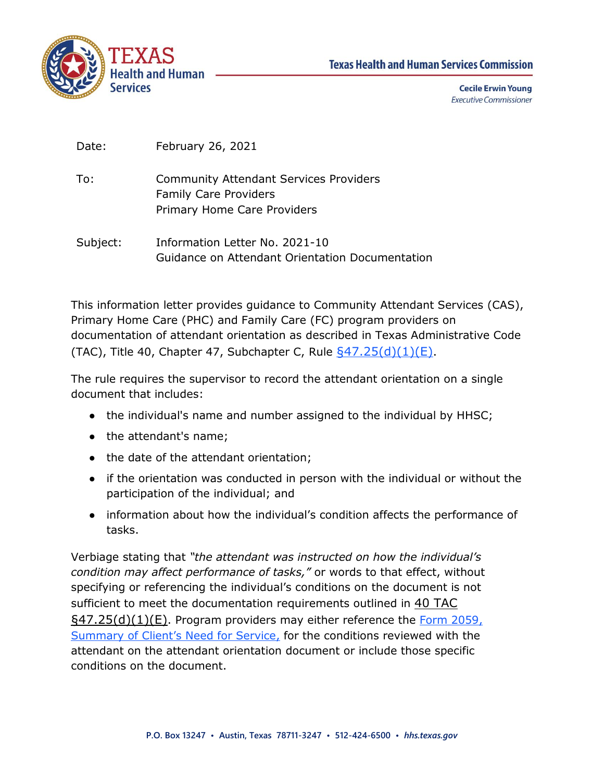

| Date: | February 26, 2021 |  |
|-------|-------------------|--|
|-------|-------------------|--|

- To: Community Attendant Services Providers Family Care Providers Primary Home Care Providers
- Subject: Information Letter No. 2021-10 Guidance on Attendant Orientation Documentation

This information letter provides guidance to Community Attendant Services (CAS), Primary Home Care (PHC) and Family Care (FC) program providers on documentation of attendant orientation as described in Texas Administrative Code (TAC), Title 40, Chapter 47, Subchapter C, Rule  $\frac{647.25(d)(1)(E)}{2}$ .

The rule requires the supervisor to record the attendant orientation on a single document that includes:

- the individual's name and number assigned to the individual by HHSC;
- the attendant's name;
- the date of the attendant orientation;
- if the orientation was conducted in person with the individual or without the participation of the individual; and
- information about how the individual's condition affects the performance of tasks.

Verbiage stating that *"the attendant was instructed on how the individual's condition may affect performance of tasks,"* or words to that effect, without specifying or referencing the individual's conditions on the document is not sufficient to meet the documentation requirements outlined in [40 TAC](https://texreg.sos.state.tx.us/public/readtac$ext.TacPage?sl=R&app=9&p_dir=&p_rloc=&p_tloc=&p_ploc=&pg=1&p_tac=&ti=40&pt=1&ch=47&rl=25)   $\S$ 47.25(d)(1)(E). Program providers may either reference the Form 2059, [Summary of Client's Need for Service](https://hhs.texas.gov/laws-regulations/forms/2000-2999/form-2059-summary-clients-need-service), for the conditions reviewed with the attendant on the attendant orientation document or include those specific conditions on the document.